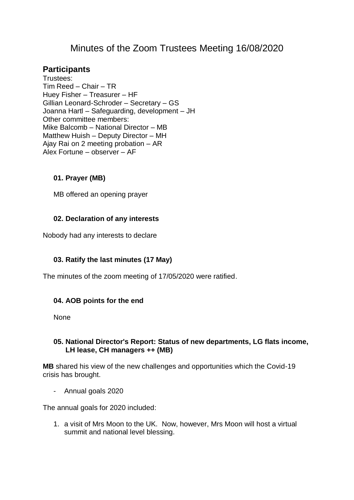# Minutes of the Zoom Trustees Meeting 16/08/2020

## **Participants**

Trustees: Tim Reed – Chair – TR Huey Fisher – Treasurer – HF Gillian Leonard-Schroder – Secretary – GS Joanna Hartl – Safeguarding, development – JH Other committee members: Mike Balcomb – National Director – MB Matthew Huish – Deputy Director – MH Ajay Rai on 2 meeting probation – AR Alex Fortune – observer – AF

#### **01. Prayer (MB)**

MB offered an opening prayer

#### **02. Declaration of any interests**

Nobody had any interests to declare

## **03. Ratify the last minutes (17 May)**

The minutes of the zoom meeting of 17/05/2020 were ratified.

#### **04. AOB points for the end**

None

#### **05. National Director's Report: Status of new departments, LG flats income, LH lease, CH managers ++ (MB)**

**MB** shared his view of the new challenges and opportunities which the Covid-19 crisis has brought.

- Annual goals 2020

The annual goals for 2020 included:

1. a visit of Mrs Moon to the UK. Now, however, Mrs Moon will host a virtual summit and national level blessing.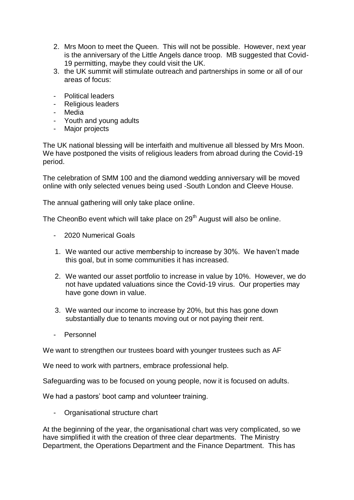- 2. Mrs Moon to meet the Queen. This will not be possible. However, next year is the anniversary of the Little Angels dance troop. MB suggested that Covid-19 permitting, maybe they could visit the UK.
- 3. the UK summit will stimulate outreach and partnerships in some or all of our areas of focus:
- Political leaders
- Religious leaders
- Media
- Youth and young adults
- Major projects

The UK national blessing will be interfaith and multivenue all blessed by Mrs Moon. We have postponed the visits of religious leaders from abroad during the Covid-19 period.

The celebration of SMM 100 and the diamond wedding anniversary will be moved online with only selected venues being used -South London and Cleeve House.

The annual gathering will only take place online.

The CheonBo event which will take place on  $29<sup>th</sup>$  August will also be online.

- 2020 Numerical Goals
- 1. We wanted our active membership to increase by 30%. We haven't made this goal, but in some communities it has increased.
- 2. We wanted our asset portfolio to increase in value by 10%. However, we do not have updated valuations since the Covid-19 virus. Our properties may have gone down in value.
- 3. We wanted our income to increase by 20%, but this has gone down substantially due to tenants moving out or not paying their rent.
- Personnel

We want to strengthen our trustees board with younger trustees such as AF

We need to work with partners, embrace professional help.

Safeguarding was to be focused on young people, now it is focused on adults.

We had a pastors' boot camp and volunteer training.

- Organisational structure chart

At the beginning of the year, the organisational chart was very complicated, so we have simplified it with the creation of three clear departments. The Ministry Department, the Operations Department and the Finance Department. This has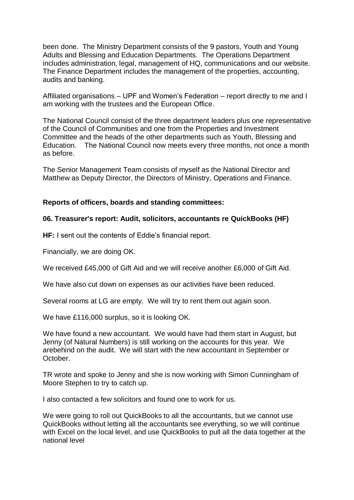been done. The Ministry Department consists of the 9 pastors, Youth and Young Adults and Blessing and Education Departments. The Operations Department includes administration, legal, management of HQ, communications and our website. The Finance Department includes the management of the properties, accounting, audits and banking.

Affiliated organisations – UPF and Women's Federation – report directly to me and I am working with the trustees and the European Office.

The National Council consist of the three department leaders plus one representative of the Council of Communities and one from the Properties and Investment Committee and the heads of the other departments such as Youth, Blessing and Education. The National Council now meets every three months, not once a month as before.

The Senior Management Team consists of myself as the National Director and Matthew as Deputy Director, the Directors of Ministry, Operations and Finance.

#### **Reports of officers, boards and standing committees:**

#### **06. Treasurer's report: Audit, solicitors, accountants re QuickBooks (HF)**

**HF:** I sent out the contents of Eddie's financial report.

Financially, we are doing OK.

We received £45,000 of Gift Aid and we will receive another £6,000 of Gift Aid.

We have also cut down on expenses as our activities have been reduced.

Several rooms at LG are empty. We will try to rent them out again soon.

We have £116,000 surplus, so it is looking OK.

We have found a new accountant. We would have had them start in August, but Jenny (of Natural Numbers) is still working on the accounts for this year. We arebehind on the audit. We will start with the new accountant in September or October.

TR wrote and spoke to Jenny and she is now working with Simon Cunningham of Moore Stephen to try to catch up.

I also contacted a few solicitors and found one to work for us.

We were going to roll out QuickBooks to all the accountants, but we cannot use QuickBooks without letting all the accountants see everything, so we will continue with Excel on the local level, and use QuickBooks to pull all the data together at the national level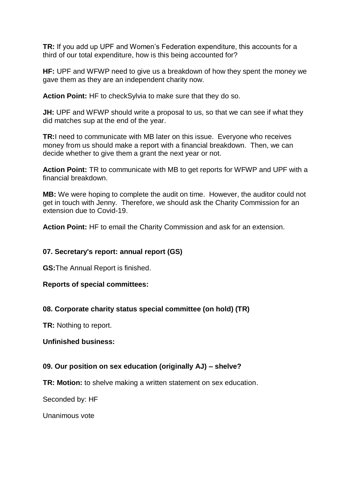**TR:** If you add up UPF and Women's Federation expenditure, this accounts for a third of our total expenditure, how is this being accounted for?

**HF:** UPF and WFWP need to give us a breakdown of how they spent the money we gave them as they are an independent charity now.

**Action Point:** HF to checkSylvia to make sure that they do so.

**JH:** UPF and WFWP should write a proposal to us, so that we can see if what they did matches sup at the end of the year.

**TR:**I need to communicate with MB later on this issue. Everyone who receives money from us should make a report with a financial breakdown. Then, we can decide whether to give them a grant the next year or not.

**Action Point:** TR to communicate with MB to get reports for WFWP and UPF with a financial breakdown.

**MB:** We were hoping to complete the audit on time. However, the auditor could not get in touch with Jenny. Therefore, we should ask the Charity Commission for an extension due to Covid-19.

**Action Point:** HF to email the Charity Commission and ask for an extension.

### **07. Secretary's report: annual report (GS)**

**GS:**The Annual Report is finished.

#### **Reports of special committees:**

## **08. Corporate charity status special committee (on hold) (TR)**

**TR:** Nothing to report.

#### **Unfinished business:**

#### **09. Our position on sex education (originally AJ) – shelve?**

**TR: Motion:** to shelve making a written statement on sex education.

Seconded by: HF

Unanimous vote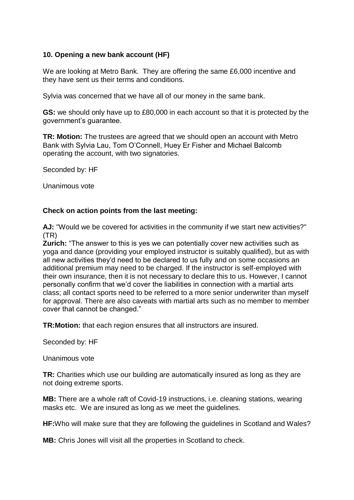#### **10. Opening a new bank account (HF)**

We are looking at Metro Bank. They are offering the same £6,000 incentive and they have sent us their terms and conditions.

Sylvia was concerned that we have all of our money in the same bank.

**GS:** we should only have up to £80,000 in each account so that it is protected by the government's guarantee.

**TR: Motion:** The trustees are agreed that we should open an account with Metro Bank with Sylvia Lau, Tom O'Connell, Huey Er Fisher and Michael Balcomb operating the account, with two signatories.

Seconded by: HF

Unanimous vote

#### **Check on action points from the last meeting:**

**AJ:** "Would we be covered for activities in the community if we start new activities?" (TR)

**Zurich:** "The answer to this is yes we can potentially cover new activities such as yoga and dance (providing your employed instructor is suitably qualified), but as with all new activities they'd need to be declared to us fully and on some occasions an additional premium may need to be charged. If the instructor is self-employed with their own insurance, then it is not necessary to declare this to us. However, I cannot personally confirm that we'd cover the liabilities in connection with a martial arts class; all contact sports need to be referred to a more senior underwriter than myself for approval. There are also caveats with martial arts such as no member to member cover that cannot be changed."

**TR:Motion:** that each region ensures that all instructors are insured.

Seconded by: HF

Unanimous vote

**TR:** Charities which use our building are automatically insured as long as they are not doing extreme sports.

**MB:** There are a whole raft of Covid-19 instructions, i.e. cleaning stations, wearing masks etc. We are insured as long as we meet the guidelines.

**HF:**Who will make sure that they are following the guidelines in Scotland and Wales?

**MB:** Chris Jones will visit all the properties in Scotland to check.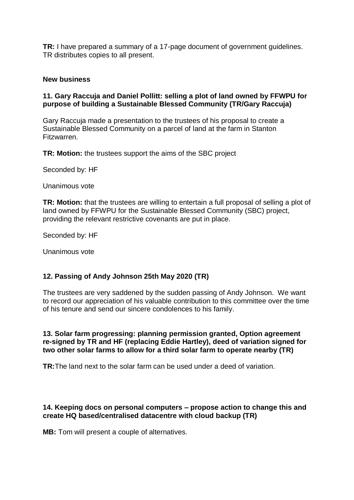**TR:** I have prepared a summary of a 17-page document of government guidelines. TR distributes copies to all present.

#### **New business**

#### **11. Gary Raccuja and Daniel Pollitt: selling a plot of land owned by FFWPU for purpose of building a Sustainable Blessed Community (TR/Gary Raccuja)**

Gary Raccuja made a presentation to the trustees of his proposal to create a Sustainable Blessed Community on a parcel of land at the farm in Stanton Fitzwarren.

**TR: Motion:** the trustees support the aims of the SBC project

Seconded by: HF

Unanimous vote

**TR: Motion:** that the trustees are willing to entertain a full proposal of selling a plot of land owned by FFWPU for the Sustainable Blessed Community (SBC) project, providing the relevant restrictive covenants are put in place.

Seconded by: HF

Unanimous vote

#### **12. Passing of Andy Johnson 25th May 2020 (TR)**

The trustees are very saddened by the sudden passing of Andy Johnson. We want to record our appreciation of his valuable contribution to this committee over the time of his tenure and send our sincere condolences to his family.

**13. Solar farm progressing: planning permission granted, Option agreement re-signed by TR and HF (replacing Eddie Hartley), deed of variation signed for two other solar farms to allow for a third solar farm to operate nearby (TR)** 

**TR:**The land next to the solar farm can be used under a deed of variation.

#### **14. Keeping docs on personal computers – propose action to change this and create HQ based/centralised datacentre with cloud backup (TR)**

**MB:** Tom will present a couple of alternatives.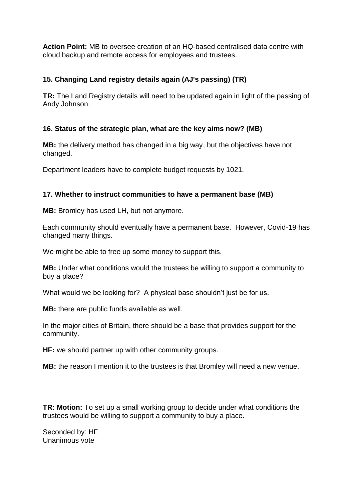**Action Point:** MB to oversee creation of an HQ-based centralised data centre with cloud backup and remote access for employees and trustees.

## **15. Changing Land registry details again (AJ's passing) (TR)**

**TR:** The Land Registry details will need to be updated again in light of the passing of Andy Johnson.

## **16. Status of the strategic plan, what are the key aims now? (MB)**

**MB:** the delivery method has changed in a big way, but the objectives have not changed.

Department leaders have to complete budget requests by 1021.

## **17. Whether to instruct communities to have a permanent base (MB)**

**MB:** Bromley has used LH, but not anymore.

Each community should eventually have a permanent base. However, Covid-19 has changed many things.

We might be able to free up some money to support this.

**MB:** Under what conditions would the trustees be willing to support a community to buy a place?

What would we be looking for? A physical base shouldn't just be for us.

**MB:** there are public funds available as well.

In the major cities of Britain, there should be a base that provides support for the community.

**HF:** we should partner up with other community groups.

**MB:** the reason I mention it to the trustees is that Bromley will need a new venue.

**TR: Motion:** To set up a small working group to decide under what conditions the trustees would be willing to support a community to buy a place.

Seconded by: HF Unanimous vote